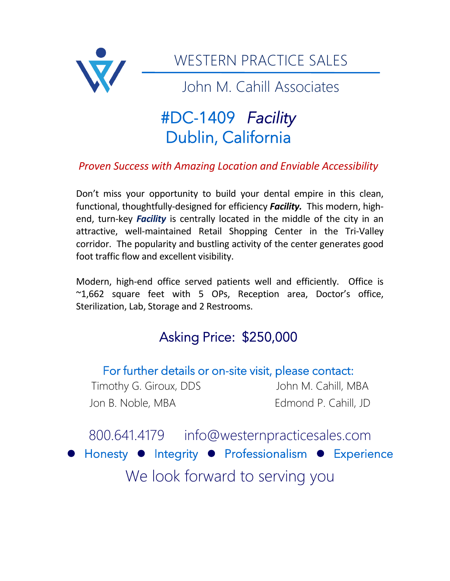

WESTERN PRACTICE SALES

John M. Cahill Associates

# #DC-1409 *Facility*  Dublin, California

## *Proven Success with Amazing Location and Enviable Accessibility*

Don't miss your opportunity to build your dental empire in this clean, functional, thoughtfully-designed for efficiency *Facility.* This modern, highend, turn-key *Facility* is centrally located in the middle of the city in an attractive, well-maintained Retail Shopping Center in the Tri-Valley corridor. The popularity and bustling activity of the center generates good foot traffic flow and excellent visibility.

Modern, high-end office served patients well and efficiently. Office is ~1,662 square feet with 5 OPs, Reception area, Doctor's office, Sterilization, Lab, Storage and 2 Restrooms.

# Asking Price: \$250,000

### For further details or on-site visit, please contact:

Timothy G. Giroux, DDS John M. Cahill, MBA Jon B. Noble, MBA Edmond P. Cahill, JD

800.641.4179 info@westernpracticesales.com ⚫ Honesty ⚫ Integrity ⚫ Professionalism ⚫ Experience We look forward to serving you